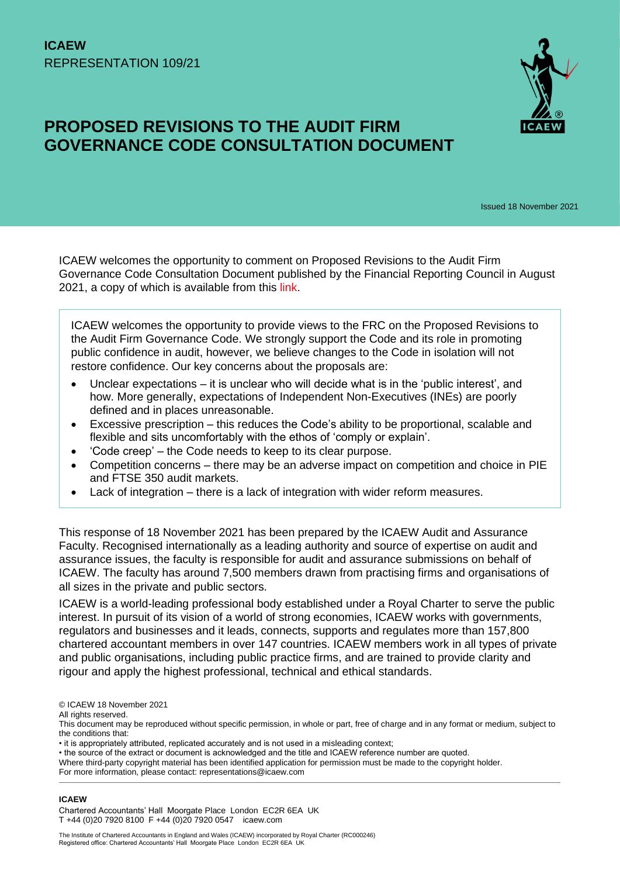

# **PROPOSED REVISIONS TO THE AUDIT FIRM GOVERNANCE CODE CONSULTATION DOCUMENT**

Issued 18 November 2021

ICAEW welcomes the opportunity to comment on Proposed Revisions to the Audit Firm Governance Code Consultation Document published by the Financial Reporting Council in August 2021, a copy of which is available from this [link.](https://www.frc.org.uk/getattachment/1a453bac-671f-4375-a738-9d6fc7f73262/Consultation-Proposed-Revisions-to-the-Audit-Firm-Governance-Code-(August-2021).pdf)

ICAEW welcomes the opportunity to provide views to the FRC on the Proposed Revisions to the Audit Firm Governance Code. We strongly support the Code and its role in promoting public confidence in audit, however, we believe changes to the Code in isolation will not restore confidence. Our key concerns about the proposals are:

- Unclear expectations it is unclear who will decide what is in the 'public interest', and how. More generally, expectations of Independent Non-Executives (INEs) are poorly defined and in places unreasonable.
- Excessive prescription this reduces the Code's ability to be proportional, scalable and flexible and sits uncomfortably with the ethos of 'comply or explain'.
- 'Code creep' the Code needs to keep to its clear purpose.
- Competition concerns there may be an adverse impact on competition and choice in PIE and FTSE 350 audit markets.
- Lack of integration there is a lack of integration with wider reform measures.

This response of 18 November 2021 has been prepared by the ICAEW Audit and Assurance Faculty. Recognised internationally as a leading authority and source of expertise on audit and assurance issues, the faculty is responsible for audit and assurance submissions on behalf of ICAEW. The faculty has around 7,500 members drawn from practising firms and organisations of all sizes in the private and public sectors.

ICAEW is a world-leading professional body established under a Royal Charter to serve the public interest. In pursuit of its vision of a world of strong economies, ICAEW works with governments, regulators and businesses and it leads, connects, supports and regulates more than 157,800 chartered accountant members in over 147 countries. ICAEW members work in all types of private and public organisations, including public practice firms, and are trained to provide clarity and rigour and apply the highest professional, technical and ethical standards.

All rights reserved.

#### **ICAEW**

Chartered Accountants' Hall Moorgate Place London EC2R 6EA UK T +44 (0)20 7920 8100 F +44 (0)20 7920 0547 icaew.com

<sup>©</sup> ICAEW 18 November 2021

This document may be reproduced without specific permission, in whole or part, free of charge and in any format or medium, subject to the conditions that:

<sup>•</sup> it is appropriately attributed, replicated accurately and is not used in a misleading context;

<sup>•</sup> the source of the extract or document is acknowledged and the title and ICAEW reference number are quoted.

Where third-party copyright material has been identified application for permission must be made to the copyright holder.

For more information, please contact: representations@icaew.com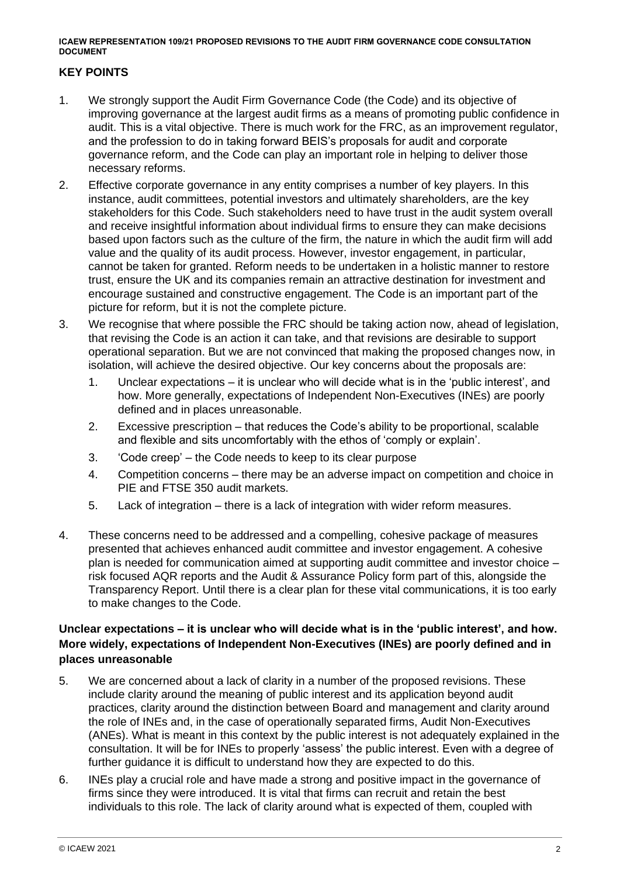#### **KEY POINTS**

- 1. We strongly support the Audit Firm Governance Code (the Code) and its objective of improving governance at the largest audit firms as a means of promoting public confidence in audit. This is a vital objective. There is much work for the FRC, as an improvement regulator, and the profession to do in taking forward BEIS's proposals for audit and corporate governance reform, and the Code can play an important role in helping to deliver those necessary reforms.
- 2. Effective corporate governance in any entity comprises a number of key players. In this instance, audit committees, potential investors and ultimately shareholders, are the key stakeholders for this Code. Such stakeholders need to have trust in the audit system overall and receive insightful information about individual firms to ensure they can make decisions based upon factors such as the culture of the firm, the nature in which the audit firm will add value and the quality of its audit process. However, investor engagement, in particular, cannot be taken for granted. Reform needs to be undertaken in a holistic manner to restore trust, ensure the UK and its companies remain an attractive destination for investment and encourage sustained and constructive engagement. The Code is an important part of the picture for reform, but it is not the complete picture.
- 3. We recognise that where possible the FRC should be taking action now, ahead of legislation, that revising the Code is an action it can take, and that revisions are desirable to support operational separation. But we are not convinced that making the proposed changes now, in isolation, will achieve the desired objective. Our key concerns about the proposals are:
	- 1. Unclear expectations it is unclear who will decide what is in the 'public interest', and how. More generally, expectations of Independent Non-Executives (INEs) are poorly defined and in places unreasonable.
	- 2. Excessive prescription that reduces the Code's ability to be proportional, scalable and flexible and sits uncomfortably with the ethos of 'comply or explain'.
	- 3. 'Code creep' the Code needs to keep to its clear purpose
	- 4. Competition concerns there may be an adverse impact on competition and choice in PIE and FTSE 350 audit markets.
	- 5. Lack of integration there is a lack of integration with wider reform measures.
- 4. These concerns need to be addressed and a compelling, cohesive package of measures presented that achieves enhanced audit committee and investor engagement. A cohesive plan is needed for communication aimed at supporting audit committee and investor choice – risk focused AQR reports and the Audit & Assurance Policy form part of this, alongside the Transparency Report. Until there is a clear plan for these vital communications, it is too early to make changes to the Code.

## **Unclear expectations – it is unclear who will decide what is in the 'public interest', and how. More widely, expectations of Independent Non-Executives (INEs) are poorly defined and in places unreasonable**

- 5. We are concerned about a lack of clarity in a number of the proposed revisions. These include clarity around the meaning of public interest and its application beyond audit practices, clarity around the distinction between Board and management and clarity around the role of INEs and, in the case of operationally separated firms, Audit Non-Executives (ANEs). What is meant in this context by the public interest is not adequately explained in the consultation. It will be for INEs to properly 'assess' the public interest. Even with a degree of further guidance it is difficult to understand how they are expected to do this.
- 6. INEs play a crucial role and have made a strong and positive impact in the governance of firms since they were introduced. It is vital that firms can recruit and retain the best individuals to this role. The lack of clarity around what is expected of them, coupled with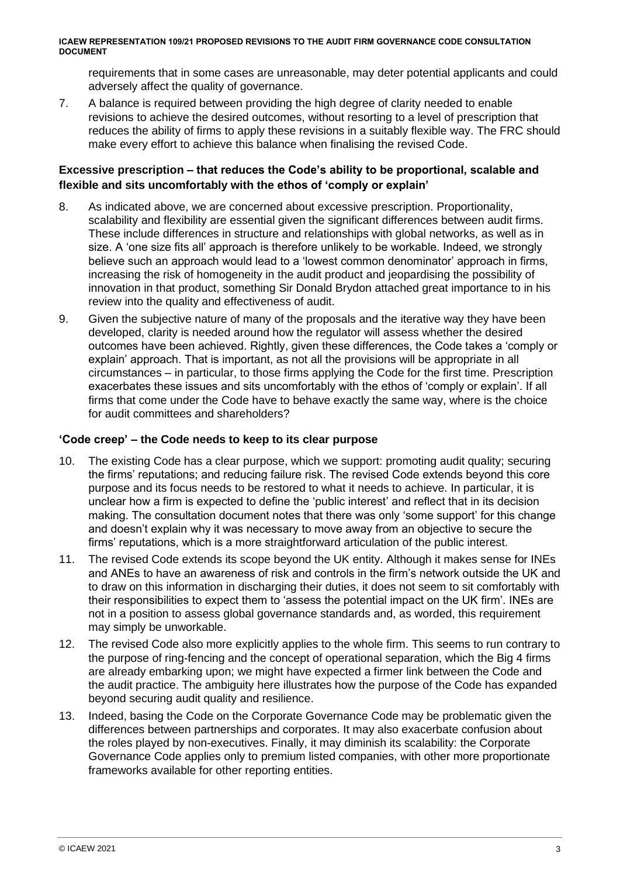requirements that in some cases are unreasonable, may deter potential applicants and could adversely affect the quality of governance.

7. A balance is required between providing the high degree of clarity needed to enable revisions to achieve the desired outcomes, without resorting to a level of prescription that reduces the ability of firms to apply these revisions in a suitably flexible way. The FRC should make every effort to achieve this balance when finalising the revised Code.

#### **Excessive prescription – that reduces the Code's ability to be proportional, scalable and flexible and sits uncomfortably with the ethos of 'comply or explain'**

- 8. As indicated above, we are concerned about excessive prescription. Proportionality, scalability and flexibility are essential given the significant differences between audit firms. These include differences in structure and relationships with global networks, as well as in size. A 'one size fits all' approach is therefore unlikely to be workable. Indeed, we strongly believe such an approach would lead to a 'lowest common denominator' approach in firms, increasing the risk of homogeneity in the audit product and jeopardising the possibility of innovation in that product, something Sir Donald Brydon attached great importance to in his review into the quality and effectiveness of audit.
- 9. Given the subjective nature of many of the proposals and the iterative way they have been developed, clarity is needed around how the regulator will assess whether the desired outcomes have been achieved. Rightly, given these differences, the Code takes a 'comply or explain' approach. That is important, as not all the provisions will be appropriate in all circumstances – in particular, to those firms applying the Code for the first time. Prescription exacerbates these issues and sits uncomfortably with the ethos of 'comply or explain'. If all firms that come under the Code have to behave exactly the same way, where is the choice for audit committees and shareholders?

#### **'Code creep' – the Code needs to keep to its clear purpose**

- 10. The existing Code has a clear purpose, which we support: promoting audit quality; securing the firms' reputations; and reducing failure risk. The revised Code extends beyond this core purpose and its focus needs to be restored to what it needs to achieve. In particular, it is unclear how a firm is expected to define the 'public interest' and reflect that in its decision making. The consultation document notes that there was only 'some support' for this change and doesn't explain why it was necessary to move away from an objective to secure the firms' reputations, which is a more straightforward articulation of the public interest.
- 11. The revised Code extends its scope beyond the UK entity. Although it makes sense for INEs and ANEs to have an awareness of risk and controls in the firm's network outside the UK and to draw on this information in discharging their duties, it does not seem to sit comfortably with their responsibilities to expect them to 'assess the potential impact on the UK firm'. INEs are not in a position to assess global governance standards and, as worded, this requirement may simply be unworkable.
- 12. The revised Code also more explicitly applies to the whole firm. This seems to run contrary to the purpose of ring-fencing and the concept of operational separation, which the Big 4 firms are already embarking upon; we might have expected a firmer link between the Code and the audit practice. The ambiguity here illustrates how the purpose of the Code has expanded beyond securing audit quality and resilience.
- 13. Indeed, basing the Code on the Corporate Governance Code may be problematic given the differences between partnerships and corporates. It may also exacerbate confusion about the roles played by non-executives. Finally, it may diminish its scalability: the Corporate Governance Code applies only to premium listed companies, with other more proportionate frameworks available for other reporting entities.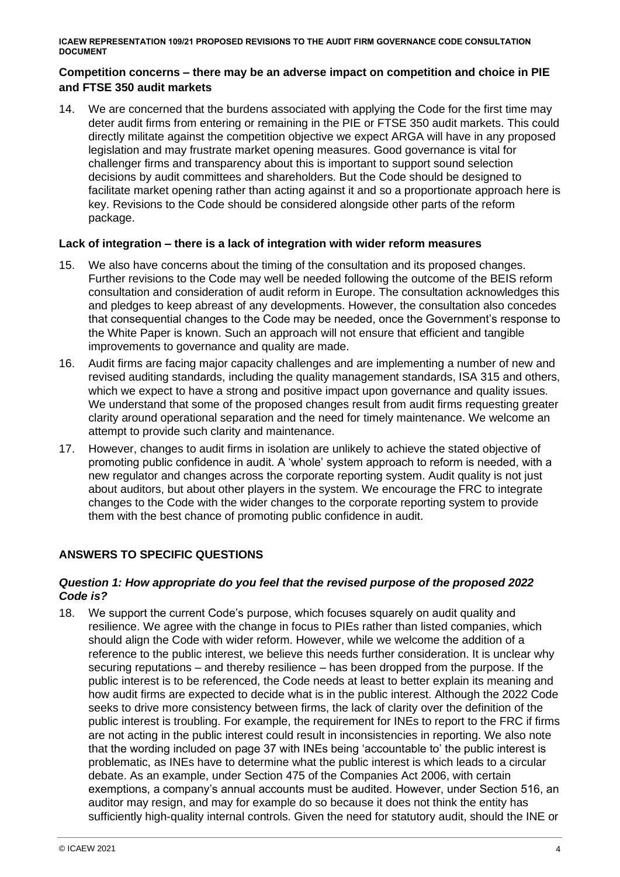#### **Competition concerns – there may be an adverse impact on competition and choice in PIE and FTSE 350 audit markets**

14. We are concerned that the burdens associated with applying the Code for the first time may deter audit firms from entering or remaining in the PIE or FTSE 350 audit markets. This could directly militate against the competition objective we expect ARGA will have in any proposed legislation and may frustrate market opening measures. Good governance is vital for challenger firms and transparency about this is important to support sound selection decisions by audit committees and shareholders. But the Code should be designed to facilitate market opening rather than acting against it and so a proportionate approach here is key. Revisions to the Code should be considered alongside other parts of the reform package.

#### **Lack of integration – there is a lack of integration with wider reform measures**

- 15. We also have concerns about the timing of the consultation and its proposed changes. Further revisions to the Code may well be needed following the outcome of the BEIS reform consultation and consideration of audit reform in Europe. The consultation acknowledges this and pledges to keep abreast of any developments. However, the consultation also concedes that consequential changes to the Code may be needed, once the Government's response to the White Paper is known. Such an approach will not ensure that efficient and tangible improvements to governance and quality are made.
- 16. Audit firms are facing major capacity challenges and are implementing a number of new and revised auditing standards, including the quality management standards, ISA 315 and others, which we expect to have a strong and positive impact upon governance and quality issues. We understand that some of the proposed changes result from audit firms requesting greater clarity around operational separation and the need for timely maintenance. We welcome an attempt to provide such clarity and maintenance.
- 17. However, changes to audit firms in isolation are unlikely to achieve the stated objective of promoting public confidence in audit. A 'whole' system approach to reform is needed, with a new regulator and changes across the corporate reporting system. Audit quality is not just about auditors, but about other players in the system. We encourage the FRC to integrate changes to the Code with the wider changes to the corporate reporting system to provide them with the best chance of promoting public confidence in audit.

### **ANSWERS TO SPECIFIC QUESTIONS**

#### *Question 1: How appropriate do you feel that the revised purpose of the proposed 2022 Code is?*

18. We support the current Code's purpose, which focuses squarely on audit quality and resilience. We agree with the change in focus to PIEs rather than listed companies, which should align the Code with wider reform. However, while we welcome the addition of a reference to the public interest, we believe this needs further consideration. It is unclear why securing reputations – and thereby resilience – has been dropped from the purpose. If the public interest is to be referenced, the Code needs at least to better explain its meaning and how audit firms are expected to decide what is in the public interest. Although the 2022 Code seeks to drive more consistency between firms, the lack of clarity over the definition of the public interest is troubling. For example, the requirement for INEs to report to the FRC if firms are not acting in the public interest could result in inconsistencies in reporting. We also note that the wording included on page 37 with INEs being 'accountable to' the public interest is problematic, as INEs have to determine what the public interest is which leads to a circular debate. As an example, under Section 475 of the Companies Act 2006, with certain exemptions, a company's annual accounts must be audited. However, under Section 516, an auditor may resign, and may for example do so because it does not think the entity has sufficiently high-quality internal controls. Given the need for statutory audit, should the INE or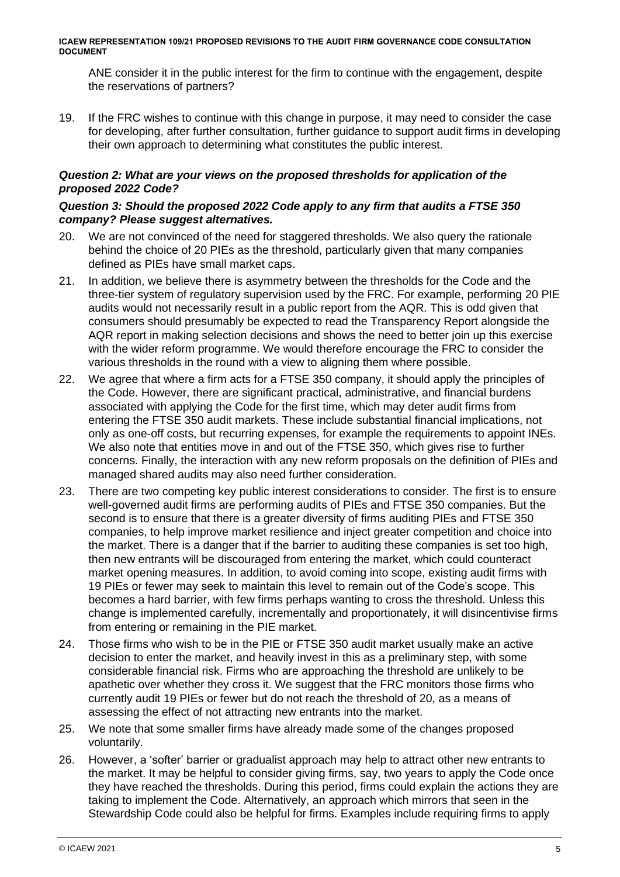ANE consider it in the public interest for the firm to continue with the engagement, despite the reservations of partners?

19. If the FRC wishes to continue with this change in purpose, it may need to consider the case for developing, after further consultation, further guidance to support audit firms in developing their own approach to determining what constitutes the public interest.

#### *Question 2: What are your views on the proposed thresholds for application of the proposed 2022 Code?*

#### *Question 3: Should the proposed 2022 Code apply to any firm that audits a FTSE 350 company? Please suggest alternatives.*

- 20. We are not convinced of the need for staggered thresholds. We also query the rationale behind the choice of 20 PIEs as the threshold, particularly given that many companies defined as PIEs have small market caps.
- 21. In addition, we believe there is asymmetry between the thresholds for the Code and the three-tier system of regulatory supervision used by the FRC. For example, performing 20 PIE audits would not necessarily result in a public report from the AQR. This is odd given that consumers should presumably be expected to read the Transparency Report alongside the AQR report in making selection decisions and shows the need to better join up this exercise with the wider reform programme. We would therefore encourage the FRC to consider the various thresholds in the round with a view to aligning them where possible.
- 22. We agree that where a firm acts for a FTSE 350 company, it should apply the principles of the Code. However, there are significant practical, administrative, and financial burdens associated with applying the Code for the first time, which may deter audit firms from entering the FTSE 350 audit markets. These include substantial financial implications, not only as one-off costs, but recurring expenses, for example the requirements to appoint INEs. We also note that entities move in and out of the FTSE 350, which gives rise to further concerns. Finally, the interaction with any new reform proposals on the definition of PIEs and managed shared audits may also need further consideration.
- 23. There are two competing key public interest considerations to consider. The first is to ensure well-governed audit firms are performing audits of PIEs and FTSE 350 companies. But the second is to ensure that there is a greater diversity of firms auditing PIEs and FTSE 350 companies, to help improve market resilience and inject greater competition and choice into the market. There is a danger that if the barrier to auditing these companies is set too high, then new entrants will be discouraged from entering the market, which could counteract market opening measures. In addition, to avoid coming into scope, existing audit firms with 19 PIEs or fewer may seek to maintain this level to remain out of the Code's scope. This becomes a hard barrier, with few firms perhaps wanting to cross the threshold. Unless this change is implemented carefully, incrementally and proportionately, it will disincentivise firms from entering or remaining in the PIE market.
- 24. Those firms who wish to be in the PIE or FTSE 350 audit market usually make an active decision to enter the market, and heavily invest in this as a preliminary step, with some considerable financial risk. Firms who are approaching the threshold are unlikely to be apathetic over whether they cross it. We suggest that the FRC monitors those firms who currently audit 19 PIEs or fewer but do not reach the threshold of 20, as a means of assessing the effect of not attracting new entrants into the market.
- 25. We note that some smaller firms have already made some of the changes proposed voluntarily.
- 26. However, a 'softer' barrier or gradualist approach may help to attract other new entrants to the market. It may be helpful to consider giving firms, say, two years to apply the Code once they have reached the thresholds. During this period, firms could explain the actions they are taking to implement the Code. Alternatively, an approach which mirrors that seen in the Stewardship Code could also be helpful for firms. Examples include requiring firms to apply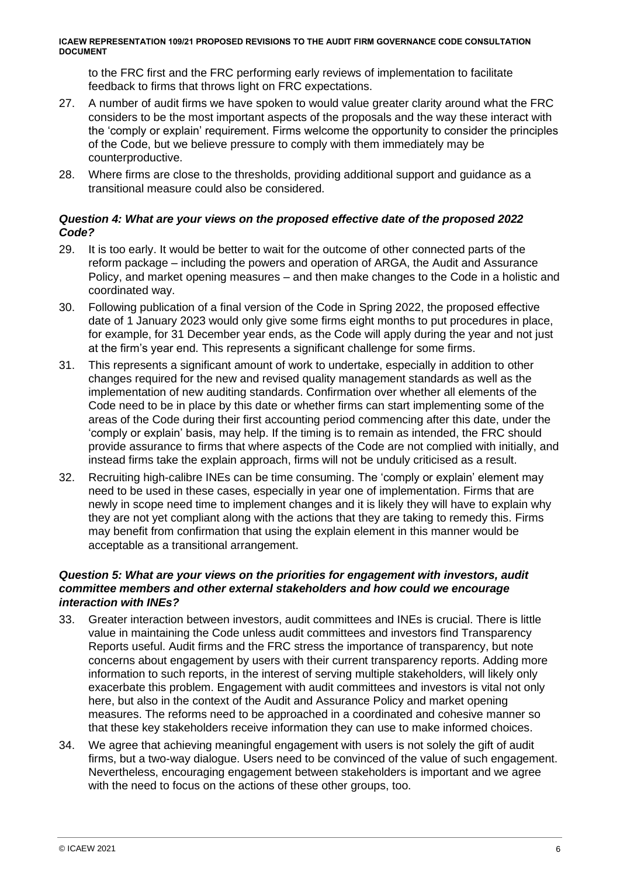to the FRC first and the FRC performing early reviews of implementation to facilitate feedback to firms that throws light on FRC expectations.

- 27. A number of audit firms we have spoken to would value greater clarity around what the FRC considers to be the most important aspects of the proposals and the way these interact with the 'comply or explain' requirement. Firms welcome the opportunity to consider the principles of the Code, but we believe pressure to comply with them immediately may be counterproductive.
- 28. Where firms are close to the thresholds, providing additional support and guidance as a transitional measure could also be considered.

#### *Question 4: What are your views on the proposed effective date of the proposed 2022 Code?*

- 29. It is too early. It would be better to wait for the outcome of other connected parts of the reform package – including the powers and operation of ARGA, the Audit and Assurance Policy, and market opening measures – and then make changes to the Code in a holistic and coordinated way.
- 30. Following publication of a final version of the Code in Spring 2022, the proposed effective date of 1 January 2023 would only give some firms eight months to put procedures in place, for example, for 31 December year ends, as the Code will apply during the year and not just at the firm's year end. This represents a significant challenge for some firms.
- 31. This represents a significant amount of work to undertake, especially in addition to other changes required for the new and revised quality management standards as well as the implementation of new auditing standards. Confirmation over whether all elements of the Code need to be in place by this date or whether firms can start implementing some of the areas of the Code during their first accounting period commencing after this date, under the 'comply or explain' basis, may help. If the timing is to remain as intended, the FRC should provide assurance to firms that where aspects of the Code are not complied with initially, and instead firms take the explain approach, firms will not be unduly criticised as a result.
- 32. Recruiting high-calibre INEs can be time consuming. The 'comply or explain' element may need to be used in these cases, especially in year one of implementation. Firms that are newly in scope need time to implement changes and it is likely they will have to explain why they are not yet compliant along with the actions that they are taking to remedy this. Firms may benefit from confirmation that using the explain element in this manner would be acceptable as a transitional arrangement.

#### *Question 5: What are your views on the priorities for engagement with investors, audit committee members and other external stakeholders and how could we encourage interaction with INEs?*

- 33. Greater interaction between investors, audit committees and INEs is crucial. There is little value in maintaining the Code unless audit committees and investors find Transparency Reports useful. Audit firms and the FRC stress the importance of transparency, but note concerns about engagement by users with their current transparency reports. Adding more information to such reports, in the interest of serving multiple stakeholders, will likely only exacerbate this problem. Engagement with audit committees and investors is vital not only here, but also in the context of the Audit and Assurance Policy and market opening measures. The reforms need to be approached in a coordinated and cohesive manner so that these key stakeholders receive information they can use to make informed choices.
- 34. We agree that achieving meaningful engagement with users is not solely the gift of audit firms, but a two-way dialogue. Users need to be convinced of the value of such engagement. Nevertheless, encouraging engagement between stakeholders is important and we agree with the need to focus on the actions of these other groups, too.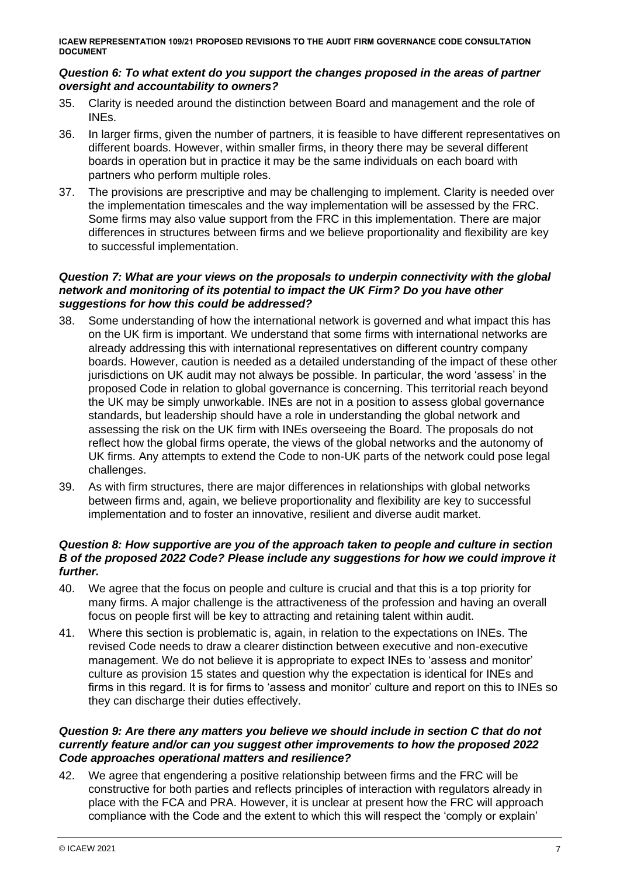#### *Question 6: To what extent do you support the changes proposed in the areas of partner oversight and accountability to owners?*

- 35. Clarity is needed around the distinction between Board and management and the role of INEs.
- 36. In larger firms, given the number of partners, it is feasible to have different representatives on different boards. However, within smaller firms, in theory there may be several different boards in operation but in practice it may be the same individuals on each board with partners who perform multiple roles.
- 37. The provisions are prescriptive and may be challenging to implement. Clarity is needed over the implementation timescales and the way implementation will be assessed by the FRC. Some firms may also value support from the FRC in this implementation. There are major differences in structures between firms and we believe proportionality and flexibility are key to successful implementation.

#### *Question 7: What are your views on the proposals to underpin connectivity with the global network and monitoring of its potential to impact the UK Firm? Do you have other suggestions for how this could be addressed?*

- 38. Some understanding of how the international network is governed and what impact this has on the UK firm is important. We understand that some firms with international networks are already addressing this with international representatives on different country company boards. However, caution is needed as a detailed understanding of the impact of these other jurisdictions on UK audit may not always be possible. In particular, the word 'assess' in the proposed Code in relation to global governance is concerning. This territorial reach beyond the UK may be simply unworkable. INEs are not in a position to assess global governance standards, but leadership should have a role in understanding the global network and assessing the risk on the UK firm with INEs overseeing the Board. The proposals do not reflect how the global firms operate, the views of the global networks and the autonomy of UK firms. Any attempts to extend the Code to non-UK parts of the network could pose legal challenges.
- 39. As with firm structures, there are major differences in relationships with global networks between firms and, again, we believe proportionality and flexibility are key to successful implementation and to foster an innovative, resilient and diverse audit market.

#### *Question 8: How supportive are you of the approach taken to people and culture in section B of the proposed 2022 Code? Please include any suggestions for how we could improve it further.*

- 40. We agree that the focus on people and culture is crucial and that this is a top priority for many firms. A major challenge is the attractiveness of the profession and having an overall focus on people first will be key to attracting and retaining talent within audit.
- 41. Where this section is problematic is, again, in relation to the expectations on INEs. The revised Code needs to draw a clearer distinction between executive and non-executive management. We do not believe it is appropriate to expect INEs to 'assess and monitor' culture as provision 15 states and question why the expectation is identical for INEs and firms in this regard. It is for firms to 'assess and monitor' culture and report on this to INEs so they can discharge their duties effectively.

#### *Question 9: Are there any matters you believe we should include in section C that do not currently feature and/or can you suggest other improvements to how the proposed 2022 Code approaches operational matters and resilience?*

42. We agree that engendering a positive relationship between firms and the FRC will be constructive for both parties and reflects principles of interaction with regulators already in place with the FCA and PRA. However, it is unclear at present how the FRC will approach compliance with the Code and the extent to which this will respect the 'comply or explain'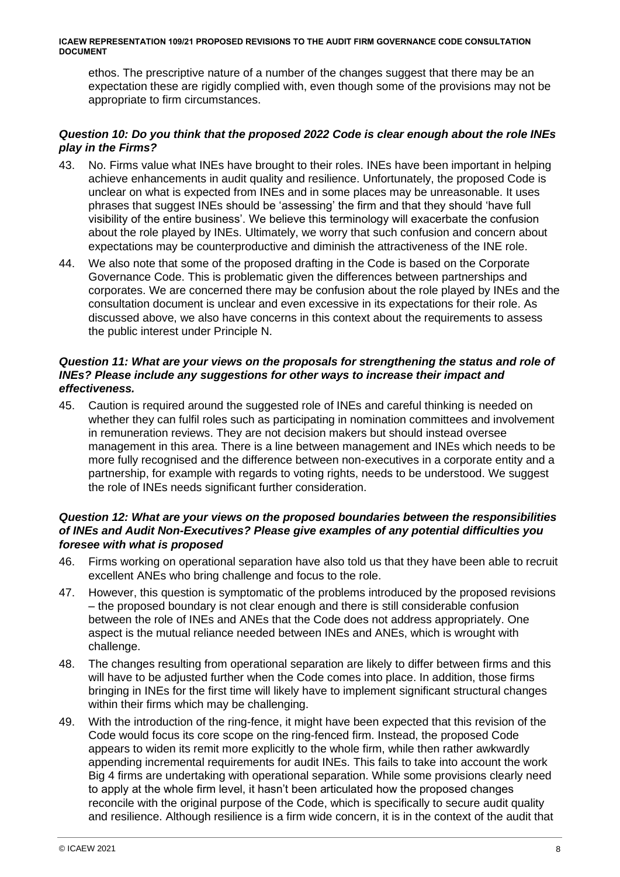ethos. The prescriptive nature of a number of the changes suggest that there may be an expectation these are rigidly complied with, even though some of the provisions may not be appropriate to firm circumstances.

#### *Question 10: Do you think that the proposed 2022 Code is clear enough about the role INEs play in the Firms?*

- 43. No. Firms value what INEs have brought to their roles. INEs have been important in helping achieve enhancements in audit quality and resilience. Unfortunately, the proposed Code is unclear on what is expected from INEs and in some places may be unreasonable. It uses phrases that suggest INEs should be 'assessing' the firm and that they should 'have full visibility of the entire business'. We believe this terminology will exacerbate the confusion about the role played by INEs. Ultimately, we worry that such confusion and concern about expectations may be counterproductive and diminish the attractiveness of the INE role.
- 44. We also note that some of the proposed drafting in the Code is based on the Corporate Governance Code. This is problematic given the differences between partnerships and corporates. We are concerned there may be confusion about the role played by INEs and the consultation document is unclear and even excessive in its expectations for their role. As discussed above, we also have concerns in this context about the requirements to assess the public interest under Principle N.

#### *Question 11: What are your views on the proposals for strengthening the status and role of INEs? Please include any suggestions for other ways to increase their impact and effectiveness.*

45. Caution is required around the suggested role of INEs and careful thinking is needed on whether they can fulfil roles such as participating in nomination committees and involvement in remuneration reviews. They are not decision makers but should instead oversee management in this area. There is a line between management and INEs which needs to be more fully recognised and the difference between non-executives in a corporate entity and a partnership, for example with regards to voting rights, needs to be understood. We suggest the role of INEs needs significant further consideration.

#### *Question 12: What are your views on the proposed boundaries between the responsibilities of INEs and Audit Non-Executives? Please give examples of any potential difficulties you foresee with what is proposed*

- 46. Firms working on operational separation have also told us that they have been able to recruit excellent ANEs who bring challenge and focus to the role.
- 47. However, this question is symptomatic of the problems introduced by the proposed revisions – the proposed boundary is not clear enough and there is still considerable confusion between the role of INEs and ANEs that the Code does not address appropriately. One aspect is the mutual reliance needed between INEs and ANEs, which is wrought with challenge.
- 48. The changes resulting from operational separation are likely to differ between firms and this will have to be adjusted further when the Code comes into place. In addition, those firms bringing in INEs for the first time will likely have to implement significant structural changes within their firms which may be challenging.
- 49. With the introduction of the ring-fence, it might have been expected that this revision of the Code would focus its core scope on the ring-fenced firm. Instead, the proposed Code appears to widen its remit more explicitly to the whole firm, while then rather awkwardly appending incremental requirements for audit INEs. This fails to take into account the work Big 4 firms are undertaking with operational separation. While some provisions clearly need to apply at the whole firm level, it hasn't been articulated how the proposed changes reconcile with the original purpose of the Code, which is specifically to secure audit quality and resilience. Although resilience is a firm wide concern, it is in the context of the audit that